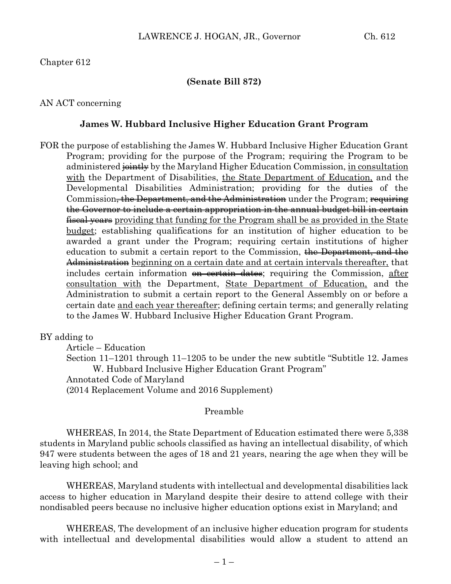#### **(Senate Bill 872)**

#### AN ACT concerning

#### **James W. Hubbard Inclusive Higher Education Grant Program**

FOR the purpose of establishing the James W. Hubbard Inclusive Higher Education Grant Program; providing for the purpose of the Program; requiring the Program to be administered  $\frac{1}{2}$  by the Maryland Higher Education Commission, in consultation with the Department of Disabilities, the State Department of Education, and the Developmental Disabilities Administration; providing for the duties of the Commission<del>, the Department, and the Administration</del> under the Program; requiring the Governor to include a certain appropriation in the annual budget bill in certain fiscal years providing that funding for the Program shall be as provided in the State budget; establishing qualifications for an institution of higher education to be awarded a grant under the Program; requiring certain institutions of higher education to submit a certain report to the Commission, the Department, and the Administration beginning on a certain date and at certain intervals thereafter, that includes certain information <del>on certain dates</del>; requiring the Commission, after consultation with the Department, State Department of Education, and the Administration to submit a certain report to the General Assembly on or before a certain date and each year thereafter; defining certain terms; and generally relating to the James W. Hubbard Inclusive Higher Education Grant Program.

#### BY adding to

Article – Education

Section 11–1201 through 11–1205 to be under the new subtitle "Subtitle 12. James W. Hubbard Inclusive Higher Education Grant Program"

Annotated Code of Maryland

(2014 Replacement Volume and 2016 Supplement)

#### Preamble

WHEREAS, In 2014, the State Department of Education estimated there were 5,338 students in Maryland public schools classified as having an intellectual disability, of which 947 were students between the ages of 18 and 21 years, nearing the age when they will be leaving high school; and

WHEREAS, Maryland students with intellectual and developmental disabilities lack access to higher education in Maryland despite their desire to attend college with their nondisabled peers because no inclusive higher education options exist in Maryland; and

WHEREAS, The development of an inclusive higher education program for students with intellectual and developmental disabilities would allow a student to attend an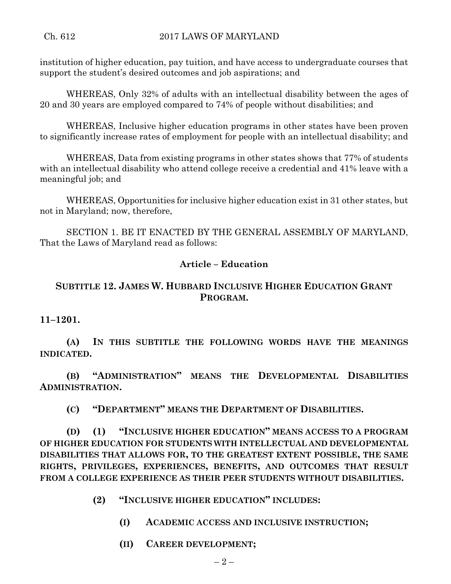institution of higher education, pay tuition, and have access to undergraduate courses that support the student's desired outcomes and job aspirations; and

WHEREAS, Only 32% of adults with an intellectual disability between the ages of 20 and 30 years are employed compared to 74% of people without disabilities; and

WHEREAS, Inclusive higher education programs in other states have been proven to significantly increase rates of employment for people with an intellectual disability; and

WHEREAS, Data from existing programs in other states shows that 77% of students with an intellectual disability who attend college receive a credential and 41% leave with a meaningful job; and

WHEREAS, Opportunities for inclusive higher education exist in 31 other states, but not in Maryland; now, therefore,

SECTION 1. BE IT ENACTED BY THE GENERAL ASSEMBLY OF MARYLAND, That the Laws of Maryland read as follows:

## **Article – Education**

## **SUBTITLE 12. JAMES W. HUBBARD INCLUSIVE HIGHER EDUCATION GRANT PROGRAM.**

### **11–1201.**

**(A) IN THIS SUBTITLE THE FOLLOWING WORDS HAVE THE MEANINGS INDICATED.**

**(B) "ADMINISTRATION" MEANS THE DEVELOPMENTAL DISABILITIES ADMINISTRATION.**

**(C) "DEPARTMENT" MEANS THE DEPARTMENT OF DISABILITIES.**

**(D) (1) "INCLUSIVE HIGHER EDUCATION" MEANS ACCESS TO A PROGRAM OF HIGHER EDUCATION FOR STUDENTS WITH INTELLECTUAL AND DEVELOPMENTAL DISABILITIES THAT ALLOWS FOR, TO THE GREATEST EXTENT POSSIBLE, THE SAME RIGHTS, PRIVILEGES, EXPERIENCES, BENEFITS, AND OUTCOMES THAT RESULT FROM A COLLEGE EXPERIENCE AS THEIR PEER STUDENTS WITHOUT DISABILITIES.**

- **(2) "INCLUSIVE HIGHER EDUCATION" INCLUDES:**
	- **(I) ACADEMIC ACCESS AND INCLUSIVE INSTRUCTION;**
	- **(II) CAREER DEVELOPMENT;**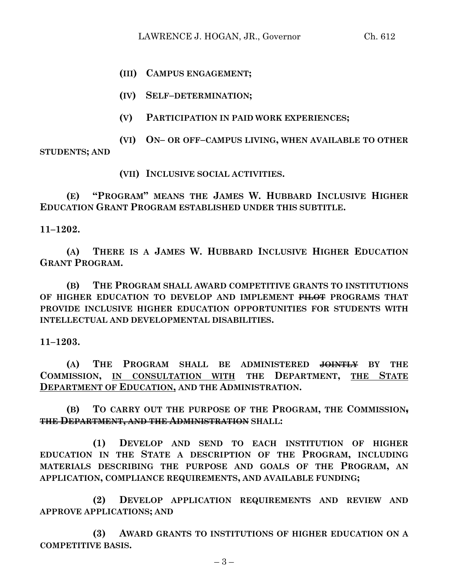**(III) CAMPUS ENGAGEMENT;**

**(IV) SELF–DETERMINATION;**

**(V) PARTICIPATION IN PAID WORK EXPERIENCES;**

**(VI) ON– OR OFF–CAMPUS LIVING, WHEN AVAILABLE TO OTHER STUDENTS; AND**

**(VII) INCLUSIVE SOCIAL ACTIVITIES.**

**(E) "PROGRAM" MEANS THE JAMES W. HUBBARD INCLUSIVE HIGHER EDUCATION GRANT PROGRAM ESTABLISHED UNDER THIS SUBTITLE.**

**11–1202.**

**(A) THERE IS A JAMES W. HUBBARD INCLUSIVE HIGHER EDUCATION GRANT PROGRAM.**

**(B) THE PROGRAM SHALL AWARD COMPETITIVE GRANTS TO INSTITUTIONS OF HIGHER EDUCATION TO DEVELOP AND IMPLEMENT PILOT PROGRAMS THAT PROVIDE INCLUSIVE HIGHER EDUCATION OPPORTUNITIES FOR STUDENTS WITH INTELLECTUAL AND DEVELOPMENTAL DISABILITIES.**

**11–1203.**

**(A) THE PROGRAM SHALL BE ADMINISTERED JOINTLY BY THE COMMISSION, IN CONSULTATION WITH THE DEPARTMENT, THE STATE DEPARTMENT OF EDUCATION, AND THE ADMINISTRATION.**

**(B) TO CARRY OUT THE PURPOSE OF THE PROGRAM, THE COMMISSION, THE DEPARTMENT, AND THE ADMINISTRATION SHALL:**

**(1) DEVELOP AND SEND TO EACH INSTITUTION OF HIGHER EDUCATION IN THE STATE A DESCRIPTION OF THE PROGRAM, INCLUDING MATERIALS DESCRIBING THE PURPOSE AND GOALS OF THE PROGRAM, AN APPLICATION, COMPLIANCE REQUIREMENTS, AND AVAILABLE FUNDING;**

**(2) DEVELOP APPLICATION REQUIREMENTS AND REVIEW AND APPROVE APPLICATIONS; AND**

**(3) AWARD GRANTS TO INSTITUTIONS OF HIGHER EDUCATION ON A COMPETITIVE BASIS.**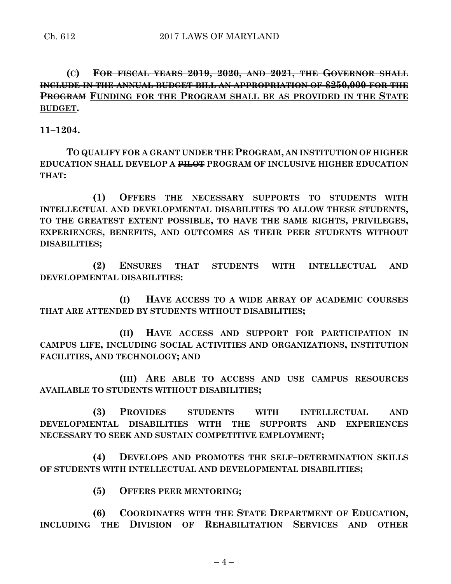**(C) FOR FISCAL YEARS 2019, 2020, AND 2021, THE GOVERNOR SHALL INCLUDE IN THE ANNUAL BUDGET BILL AN APPROPRIATION OF \$250,000 FOR THE PROGRAM FUNDING FOR THE PROGRAM SHALL BE AS PROVIDED IN THE STATE BUDGET.**

**11–1204.**

**TO QUALIFY FOR A GRANT UNDER THE PROGRAM, AN INSTITUTION OF HIGHER EDUCATION SHALL DEVELOP A PILOT PROGRAM OF INCLUSIVE HIGHER EDUCATION THAT:**

**(1) OFFERS THE NECESSARY SUPPORTS TO STUDENTS WITH INTELLECTUAL AND DEVELOPMENTAL DISABILITIES TO ALLOW THESE STUDENTS, TO THE GREATEST EXTENT POSSIBLE, TO HAVE THE SAME RIGHTS, PRIVILEGES, EXPERIENCES, BENEFITS, AND OUTCOMES AS THEIR PEER STUDENTS WITHOUT DISABILITIES;**

**(2) ENSURES THAT STUDENTS WITH INTELLECTUAL AND DEVELOPMENTAL DISABILITIES:**

**(I) HAVE ACCESS TO A WIDE ARRAY OF ACADEMIC COURSES THAT ARE ATTENDED BY STUDENTS WITHOUT DISABILITIES;**

**(II) HAVE ACCESS AND SUPPORT FOR PARTICIPATION IN CAMPUS LIFE, INCLUDING SOCIAL ACTIVITIES AND ORGANIZATIONS, INSTITUTION FACILITIES, AND TECHNOLOGY; AND**

**(III) ARE ABLE TO ACCESS AND USE CAMPUS RESOURCES AVAILABLE TO STUDENTS WITHOUT DISABILITIES;**

**(3) PROVIDES STUDENTS WITH INTELLECTUAL AND DEVELOPMENTAL DISABILITIES WITH THE SUPPORTS AND EXPERIENCES NECESSARY TO SEEK AND SUSTAIN COMPETITIVE EMPLOYMENT;**

**(4) DEVELOPS AND PROMOTES THE SELF–DETERMINATION SKILLS OF STUDENTS WITH INTELLECTUAL AND DEVELOPMENTAL DISABILITIES;**

**(5) OFFERS PEER MENTORING;**

**(6) COORDINATES WITH THE STATE DEPARTMENT OF EDUCATION, INCLUDING THE DIVISION OF REHABILITATION SERVICES AND OTHER** 

 $-4-$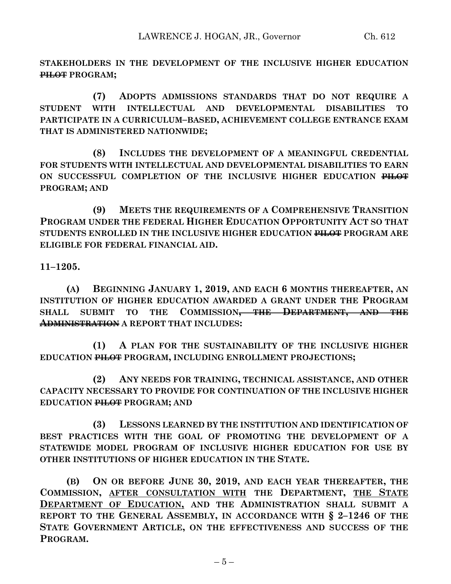**STAKEHOLDERS IN THE DEVELOPMENT OF THE INCLUSIVE HIGHER EDUCATION PILOT PROGRAM;**

**(7) ADOPTS ADMISSIONS STANDARDS THAT DO NOT REQUIRE A STUDENT WITH INTELLECTUAL AND DEVELOPMENTAL DISABILITIES TO PARTICIPATE IN A CURRICULUM–BASED, ACHIEVEMENT COLLEGE ENTRANCE EXAM THAT IS ADMINISTERED NATIONWIDE;**

**(8) INCLUDES THE DEVELOPMENT OF A MEANINGFUL CREDENTIAL FOR STUDENTS WITH INTELLECTUAL AND DEVELOPMENTAL DISABILITIES TO EARN ON SUCCESSFUL COMPLETION OF THE INCLUSIVE HIGHER EDUCATION PILOT PROGRAM; AND**

**(9) MEETS THE REQUIREMENTS OF A COMPREHENSIVE TRANSITION PROGRAM UNDER THE FEDERAL HIGHER EDUCATION OPPORTUNITY ACT SO THAT STUDENTS ENROLLED IN THE INCLUSIVE HIGHER EDUCATION PILOT PROGRAM ARE ELIGIBLE FOR FEDERAL FINANCIAL AID.**

**11–1205.**

**(A) BEGINNING JANUARY 1, 2019, AND EACH 6 MONTHS THEREAFTER, AN INSTITUTION OF HIGHER EDUCATION AWARDED A GRANT UNDER THE PROGRAM SHALL SUBMIT TO THE COMMISSION, THE DEPARTMENT, AND THE ADMINISTRATION A REPORT THAT INCLUDES:**

**(1) A PLAN FOR THE SUSTAINABILITY OF THE INCLUSIVE HIGHER EDUCATION PILOT PROGRAM, INCLUDING ENROLLMENT PROJECTIONS;**

**(2) ANY NEEDS FOR TRAINING, TECHNICAL ASSISTANCE, AND OTHER CAPACITY NECESSARY TO PROVIDE FOR CONTINUATION OF THE INCLUSIVE HIGHER EDUCATION PILOT PROGRAM; AND**

**(3) LESSONS LEARNED BY THE INSTITUTION AND IDENTIFICATION OF BEST PRACTICES WITH THE GOAL OF PROMOTING THE DEVELOPMENT OF A STATEWIDE MODEL PROGRAM OF INCLUSIVE HIGHER EDUCATION FOR USE BY OTHER INSTITUTIONS OF HIGHER EDUCATION IN THE STATE.**

**(B) ON OR BEFORE JUNE 30, 2019, AND EACH YEAR THEREAFTER, THE COMMISSION, AFTER CONSULTATION WITH THE DEPARTMENT, THE STATE DEPARTMENT OF EDUCATION, AND THE ADMINISTRATION SHALL SUBMIT A REPORT TO THE GENERAL ASSEMBLY, IN ACCORDANCE WITH § 2–1246 OF THE STATE GOVERNMENT ARTICLE, ON THE EFFECTIVENESS AND SUCCESS OF THE PROGRAM.**